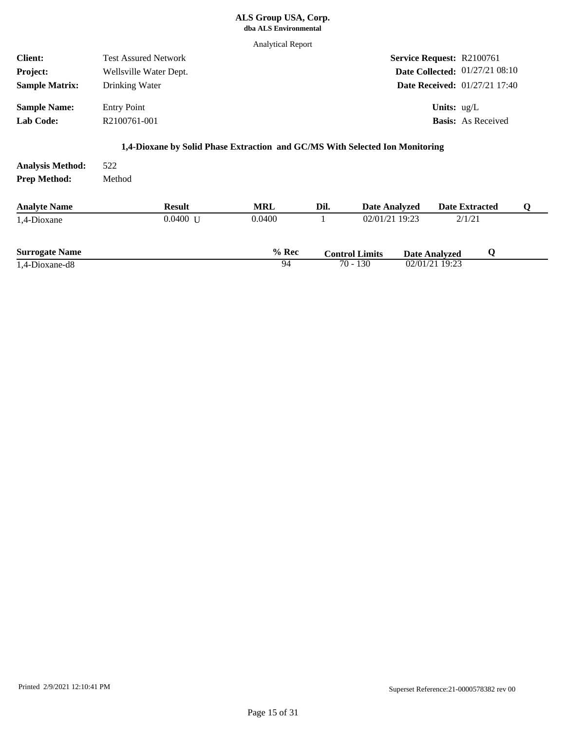## **ALS Group USA, Corp. dba ALS Environmental**

**Lab Code:** R2100761-001 **Sample Name:** Entry Point **1,4-Dioxane by Solid Phase Extraction and GC/MS With Selected Ion Monitoring** 01/27/21 08:10 **Date Collected: Basis:** As Received **Units:** ug/L 01/27/21 17:40 **Date Received:** R2100761 **Service Request:** Drinking Water Wellsville Water Dept. Test Assured Network **Sample Matrix: Project: Client:** Analytical Report

| <b>Analysis Method:</b><br><b>Prep Method:</b> | 522<br>Method |               |            |      |                       |                           |   |
|------------------------------------------------|---------------|---------------|------------|------|-----------------------|---------------------------|---|
| <b>Analyte Name</b>                            |               | <b>Result</b> | <b>MRL</b> | Dil. | <b>Date Analyzed</b>  | <b>Date Extracted</b>     | Q |
| 1,4-Dioxane                                    |               | $0.0400$ U    | 0.0400     |      | 02/01/21 19:23        | 2/1/21                    |   |
| <b>Surrogate Name</b>                          |               |               | $%$ Rec    |      | <b>Control Limits</b> | Q<br><b>Date Analyzed</b> |   |
| 1,4-Dioxane-d8                                 |               |               | 94         |      | $70 - 130$            | 02/01/21 19:23            |   |